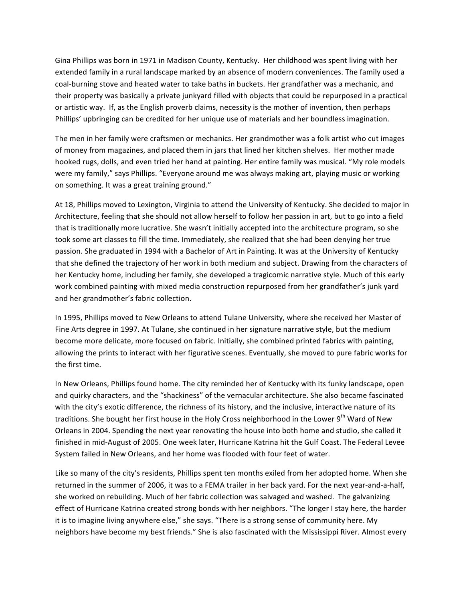Gina Phillips was born in 1971 in Madison County, Kentucky. Her childhood was spent living with her extended family in a rural landscape marked by an absence of modern conveniences. The family used a coal-burning stove and heated water to take baths in buckets. Her grandfather was a mechanic, and their property was basically a private junkyard filled with objects that could be repurposed in a practical or artistic way. If, as the English proverb claims, necessity is the mother of invention, then perhaps Phillips' upbringing can be credited for her unique use of materials and her boundless imagination.

The men in her family were craftsmen or mechanics. Her grandmother was a folk artist who cut images of money from magazines, and placed them in jars that lined her kitchen shelves. Her mother made hooked rugs, dolls, and even tried her hand at painting. Her entire family was musical. "My role models were my family," says Phillips. "Everyone around me was always making art, playing music or working on something. It was a great training ground."

At 18, Phillips moved to Lexington, Virginia to attend the University of Kentucky. She decided to major in Architecture, feeling that she should not allow herself to follow her passion in art, but to go into a field that is traditionally more lucrative. She wasn't initially accepted into the architecture program, so she took some art classes to fill the time. Immediately, she realized that she had been denying her true passion. She graduated in 1994 with a Bachelor of Art in Painting. It was at the University of Kentucky that she defined the trajectory of her work in both medium and subject. Drawing from the characters of her Kentucky home, including her family, she developed a tragicomic narrative style. Much of this early work combined painting with mixed media construction repurposed from her grandfather's junk yard and her grandmother's fabric collection.

In 1995, Phillips moved to New Orleans to attend Tulane University, where she received her Master of Fine Arts degree in 1997. At Tulane, she continued in her signature narrative style, but the medium become more delicate, more focused on fabric. Initially, she combined printed fabrics with painting, allowing the prints to interact with her figurative scenes. Eventually, she moved to pure fabric works for the first time.

In New Orleans, Phillips found home. The city reminded her of Kentucky with its funky landscape, open and quirky characters, and the "shackiness" of the vernacular architecture. She also became fascinated with the city's exotic difference, the richness of its history, and the inclusive, interactive nature of its traditions. She bought her first house in the Holy Cross neighborhood in the Lower 9<sup>th</sup> Ward of New Orleans in 2004. Spending the next year renovating the house into both home and studio, she called it finished in mid-August of 2005. One week later, Hurricane Katrina hit the Gulf Coast. The Federal Levee System failed in New Orleans, and her home was flooded with four feet of water.

Like so many of the city's residents, Phillips spent ten months exiled from her adopted home. When she returned in the summer of 2006, it was to a FEMA trailer in her back yard. For the next year-and-a-half, she worked on rebuilding. Much of her fabric collection was salvaged and washed. The galvanizing effect of Hurricane Katrina created strong bonds with her neighbors. "The longer I stay here, the harder it is to imagine living anywhere else," she says. "There is a strong sense of community here. My neighbors have become my best friends." She is also fascinated with the Mississippi River. Almost every